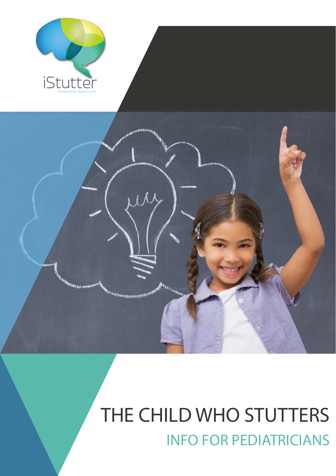



# THE CHILD WHO STUTTERS INFO FOR PEDIATRICIANS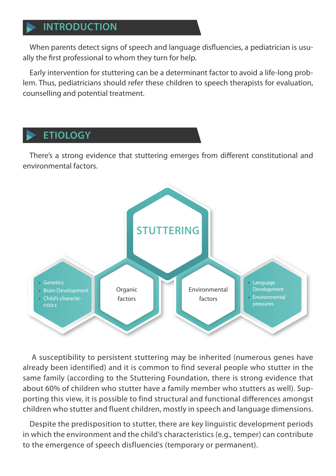#### **INTRODUCTION**

When parents detect signs of speech and language disfluencies, a pediatrician is usually the first professional to whom they turn for help.

Early intervention for stuttering can be a determinant factor to avoid a life-long problem. Thus, pediatricians should refer these children to speech therapists for evaluation, counselling and potential treatment.

## **ETIOLOGY**

There's a strong evidence that stuttering emerges from different constitutional and environmental factors.



 A susceptibility to persistent stuttering may be inherited (numerous genes have already been identified) and it is common to find several people who stutter in the same family (according to the Stuttering Foundation, there is strong evidence that about 60% of children who stutter have a family member who stutters as well). Supporting this view, it is possible to find structural and functional differences amongst children who stutter and fluent children, mostly in speech and language dimensions.

Despite the predisposition to stutter, there are key linguistic development periods in which the environment and the child's characteristics (e.g., temper) can contribute to the emergence of speech disfluencies (temporary or permanent).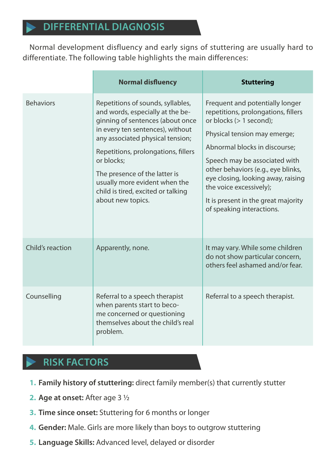### **DIFFERENTIAL DIAGNOSIS**

Normal development disfluency and early signs of stuttering are usually hard to differentiate. The following table highlights the main differences:

|                  | <b>Normal disfluency</b>                                                                                                                                                                                                                                                                                                                                            | <b>Stuttering</b>                                                                                                                                                                                                                                                                                                                                                                |
|------------------|---------------------------------------------------------------------------------------------------------------------------------------------------------------------------------------------------------------------------------------------------------------------------------------------------------------------------------------------------------------------|----------------------------------------------------------------------------------------------------------------------------------------------------------------------------------------------------------------------------------------------------------------------------------------------------------------------------------------------------------------------------------|
| <b>Behaviors</b> | Repetitions of sounds, syllables,<br>and words, especially at the be-<br>ginning of sentences (about once<br>in every ten sentences), without<br>any associated physical tension;<br>Repetitions, prolongations, fillers<br>or blocks:<br>The presence of the latter is<br>usually more evident when the<br>child is tired, excited or talking<br>about new topics. | Frequent and potentially longer<br>repetitions, prolongations, fillers<br>or blocks $(> 1$ second):<br>Physical tension may emerge;<br>Abnormal blocks in discourse;<br>Speech may be associated with<br>other behaviors (e.g., eye blinks,<br>eye closing, looking away, raising<br>the voice excessively);<br>It is present in the great majority<br>of speaking interactions. |
| Child's reaction | Apparently, none.                                                                                                                                                                                                                                                                                                                                                   | It may vary. While some children<br>do not show particular concern,<br>others feel ashamed and/or fear.                                                                                                                                                                                                                                                                          |
| Counselling      | Referral to a speech therapist<br>when parents start to beco-<br>me concerned or questioning<br>themselves about the child's real<br>problem.                                                                                                                                                                                                                       | Referral to a speech therapist.                                                                                                                                                                                                                                                                                                                                                  |

# **RISK FACTORS**

- **1. Family history of stuttering:** direct family member(s) that currently stutter
- **2. Age at onset:** After age 3 ½
- **3. Time since onset:** Stuttering for 6 months or longer
- **4. Gender:** Male. Girls are more likely than boys to outgrow stuttering
- **5. Language Skills:** Advanced level, delayed or disorder